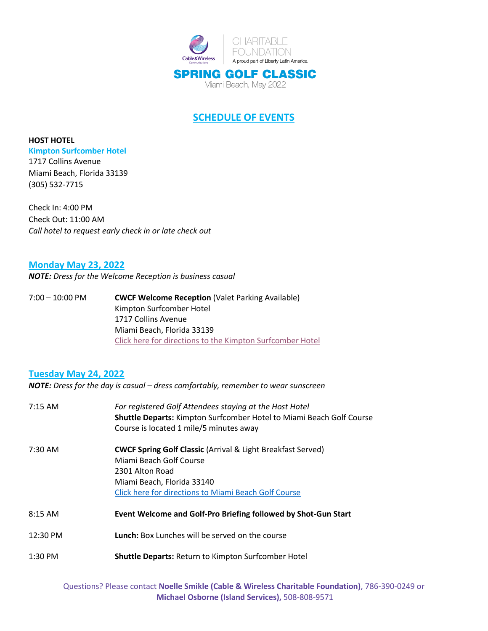

## **SCHEDULE OF EVENTS**

**HOST HOTEL [Kimpton Surfcomber Hotel](https://www.surfcomber.com/)** 1717 Collins Avenue Miami Beach, Florida 33139 (305) 532-7715

Check In: 4:00 PM Check Out: 11:00 AM *Call hotel to request early check in or late check out*

### **Monday May 23, 2022**

*NOTE: Dress for the Welcome Reception is business casual*

7:00 – 10:00 PM **CWCF Welcome Reception** (Valet Parking Available) Kimpton Surfcomber Hotel 1717 Collins Avenue Miami Beach, Florida 33139 [Click here for directions to](https://www.google.com/maps/dir/40.713896,-74.3235535/kimpton+surfcomber+hotel/@32.9311413,-86.9857709,5z/data=!3m1!4b1!4m9!4m8!1m1!4e1!1m5!1m1!1s0x88d9b49b77075aa9:0x63654324dbae8d11!2m2!1d-80.1293951!2d25.7928502) the Kimpton Surfcomber Hotel

### **Tuesday May 24, 2022**

*NOTE: Dress for the day is casual – dress comfortably, remember to wear sunscreen*

| $7:15 \text{ AM}$  | For registered Golf Attendees staying at the Host Hotel<br><b>Shuttle Departs:</b> Kimpton Surfcomber Hotel to Miami Beach Golf Course<br>Course is located 1 mile/5 minutes away                          |
|--------------------|------------------------------------------------------------------------------------------------------------------------------------------------------------------------------------------------------------|
| 7:30 AM            | <b>CWCF Spring Golf Classic (Arrival &amp; Light Breakfast Served)</b><br>Miami Beach Golf Course<br>2301 Alton Road<br>Miami Beach, Florida 33140<br>Click here for directions to Miami Beach Golf Course |
| $8:15 \text{ AM}$  | Event Welcome and Golf-Pro Briefing followed by Shot-Gun Start                                                                                                                                             |
| $12:30 \text{ PM}$ | <b>Lunch:</b> Box Lunches will be served on the course                                                                                                                                                     |
| $1:30$ PM          | <b>Shuttle Departs: Return to Kimpton Surfcomber Hotel</b>                                                                                                                                                 |

Questions? Please contact **Noelle Smikle (Cable & Wireless Charitable Foundation)**, 786-390-0249 or **Michael Osborne (Island Services),** 508-808-9571